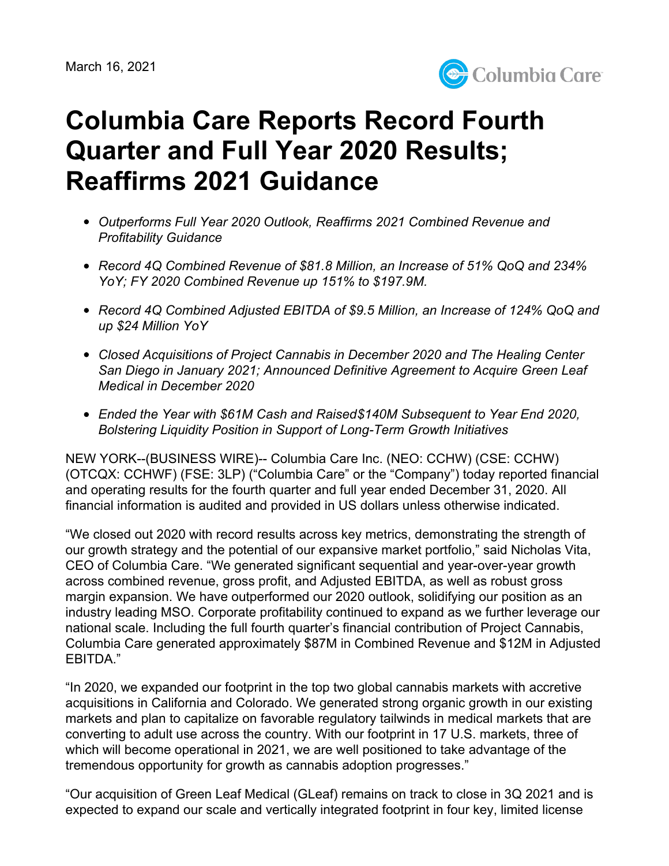

# **Columbia Care Reports Record Fourth Quarter and Full Year 2020 Results; Reaffirms 2021 Guidance**

- *Outperforms Full Year 2020 Outlook, Reaffirms 2021 Combined Revenue and Profitability Guidance*
- *Record 4Q Combined Revenue of \$81.8 Million, an Increase of 51% QoQ and 234% YoY; FY 2020 Combined Revenue up 151% to \$197.9M.*
- *Record 4Q Combined Adjusted EBITDA of \$9.5 Million, an Increase of 124% QoQ and up \$24 Million YoY*
- *Closed Acquisitions of Project Cannabis in December 2020 and The Healing Center San Diego in January 2021; Announced Definitive Agreement to Acquire Green Leaf Medical in December 2020*
- *Ended the Year with \$61M Cash and Raised\$140M Subsequent to Year End 2020, Bolstering Liquidity Position in Support of Long-Term Growth Initiatives*

NEW YORK--(BUSINESS WIRE)-- Columbia Care Inc. (NEO: CCHW) (CSE: CCHW) (OTCQX: CCHWF) (FSE: 3LP) ("Columbia Care" or the "Company") today reported financial and operating results for the fourth quarter and full year ended December 31, 2020. All financial information is audited and provided in US dollars unless otherwise indicated.

"We closed out 2020 with record results across key metrics, demonstrating the strength of our growth strategy and the potential of our expansive market portfolio," said Nicholas Vita, CEO of Columbia Care. "We generated significant sequential and year-over-year growth across combined revenue, gross profit, and Adjusted EBITDA, as well as robust gross margin expansion. We have outperformed our 2020 outlook, solidifying our position as an industry leading MSO. Corporate profitability continued to expand as we further leverage our national scale. Including the full fourth quarter's financial contribution of Project Cannabis, Columbia Care generated approximately \$87M in Combined Revenue and \$12M in Adjusted EBITDA."

"In 2020, we expanded our footprint in the top two global cannabis markets with accretive acquisitions in California and Colorado. We generated strong organic growth in our existing markets and plan to capitalize on favorable regulatory tailwinds in medical markets that are converting to adult use across the country. With our footprint in 17 U.S. markets, three of which will become operational in 2021, we are well positioned to take advantage of the tremendous opportunity for growth as cannabis adoption progresses."

"Our acquisition of Green Leaf Medical (GLeaf) remains on track to close in 3Q 2021 and is expected to expand our scale and vertically integrated footprint in four key, limited license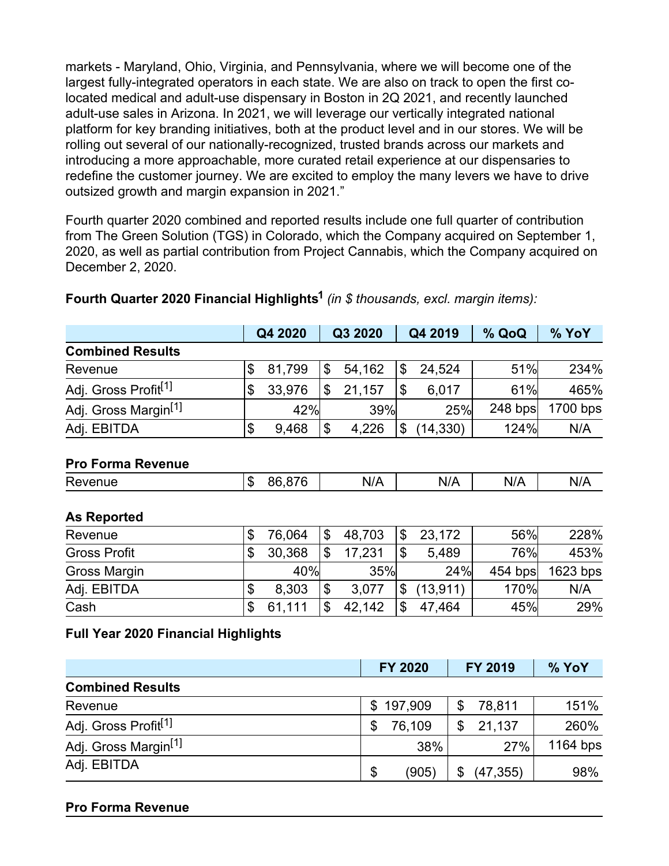markets - Maryland, Ohio, Virginia, and Pennsylvania, where we will become one of the largest fully-integrated operators in each state. We are also on track to open the first colocated medical and adult-use dispensary in Boston in 2Q 2021, and recently launched adult-use sales in Arizona. In 2021, we will leverage our vertically integrated national platform for key branding initiatives, both at the product level and in our stores. We will be rolling out several of our nationally-recognized, trusted brands across our markets and introducing a more approachable, more curated retail experience at our dispensaries to redefine the customer journey. We are excited to employ the many levers we have to drive outsized growth and margin expansion in 2021."

Fourth quarter 2020 combined and reported results include one full quarter of contribution from The Green Solution (TGS) in Colorado, which the Company acquired on September 1, 2020, as well as partial contribution from Project Cannabis, which the Company acquired on December 2, 2020.

|                                            | Q4 2020      |                           | Q3 2020 |                           | Q4 2019   | % QoQ          | % YoY    |
|--------------------------------------------|--------------|---------------------------|---------|---------------------------|-----------|----------------|----------|
| <b>Combined Results</b>                    |              |                           |         |                           |           |                |          |
| Revenue                                    | \$<br>81,799 | \$                        | 54,162  | \$                        | 24,524    | 51%            | 234%     |
| Adj. Gross Profit <sup>[1]</sup>           | \$<br>33,976 | \$                        | 21,157  | \$                        | 6,017     | 61%            | 465%     |
| Adj. Gross Margin <sup>[1]</sup>           | 42%          |                           | 39%     |                           | 25%       | 248 bps        | 1700 bps |
| Adj. EBITDA                                | \$<br>9,468  | \$                        | 4,226   | \$                        | (14, 330) | 124%           | N/A      |
| <b>Pro Forma Revenue</b>                   |              |                           |         |                           |           |                |          |
| Revenue                                    | \$<br>86,876 |                           | N/A     |                           | N/A       | N/A            | N/A      |
| <b>As Reported</b>                         |              |                           |         |                           |           |                |          |
| Revenue                                    | \$<br>76,064 | $\boldsymbol{\mathsf{S}}$ | 48,703  | \$                        | 23,172    | 56%            | 228%     |
| <b>Gross Profit</b>                        | \$<br>30,368 | \$                        | 17,231  | $\boldsymbol{\mathsf{S}}$ | 5,489     | 76%            | 453%     |
| <b>Gross Margin</b>                        | 40%          |                           | 35%     |                           | 24%       | 454 bps        | 1623 bps |
| Adj. EBITDA                                | \$<br>8,303  | \$                        | 3,077   | \$                        | (13, 911) | 170%           | N/A      |
| Cash                                       | \$<br>61,111 | \$                        | 42,142  | \$                        | 47,464    | 45%            | 29%      |
| <b>Full Year 2020 Financial Highlights</b> |              |                           |         |                           |           |                |          |
|                                            |              |                           |         | <b>FY 2020</b>            |           | <b>FY 2019</b> | % YoY    |
| <b>Combined Results</b>                    |              |                           |         |                           |           |                |          |
| Revenue                                    |              |                           | \$      | 197,909                   | \$        | 78,811         | 151%     |
| Adj. Gross Profit <sup>[1]</sup>           |              |                           | \$      | 76,109                    | \$        | 21,137         | 260%     |
| Adj. Gross Margin <sup>[1]</sup>           |              |                           |         |                           | 38%       | 27%            | 1164 bps |

 $\frac{1}{2}$  (905)  $\frac{1}{2}$  (47,355) 98%

# **Fourth Quarter 2020 Financial Highlights 1** *(in \$ thousands, excl. margin items):*

#### **Pro Forma Revenue**

Adi. EBITDA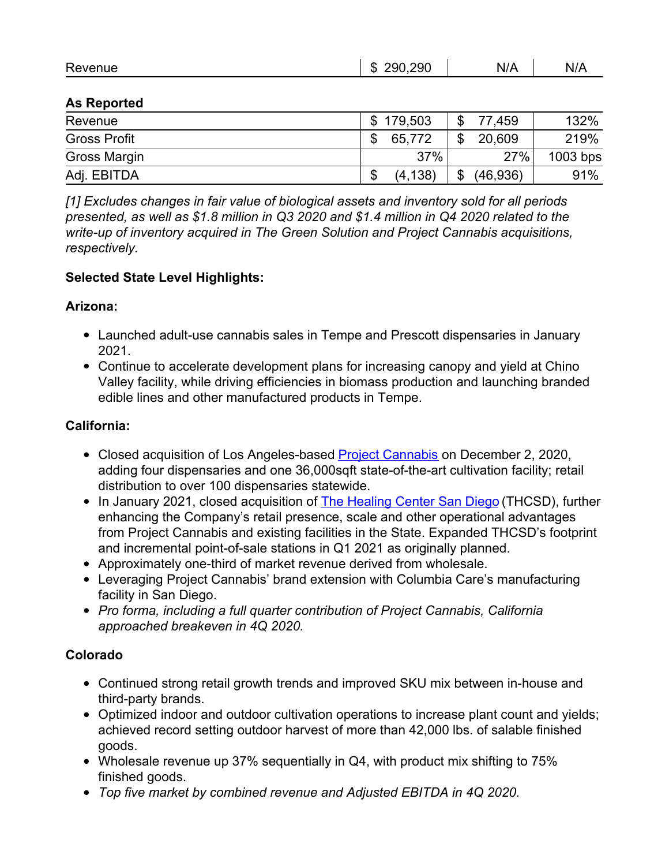| $\overline{\phantom{0}}$<br>-----<br>Revenue | 290<br>௱<br>u<br>٠D<br>__ | $\mathbf{11A}$<br>M<br>-<br>. |  |
|----------------------------------------------|---------------------------|-------------------------------|--|
|                                              |                           |                               |  |

#### **As Reported**

| $\sim$ $\sim$ $\sim$ $\sim$ $\sim$ $\sim$ $\sim$ |    |           |                |            |
|--------------------------------------------------|----|-----------|----------------|------------|
| Revenue                                          |    | \$179,503 | \$<br>77,459   | 132%       |
| <b>Gross Profit</b>                              | \$ | 65,772    | 20,609         | 219%       |
| <b>Gross Margin</b>                              |    | 37%       | 27%            | $1003$ bps |
| Adj. EBITDA                                      | ъ  | (4, 138)  | \$<br>(46,936) | 91%        |

*[1] Excludes changes in fair value of biological assets and inventory sold for all periods presented, as well as \$1.8 million in Q3 2020 and \$1.4 million in Q4 2020 related to the write-up of inventory acquired in The Green Solution and Project Cannabis acquisitions, respectively.*

#### **Selected State Level Highlights:**

#### **Arizona:**

- Launched adult-use cannabis sales in Tempe and Prescott dispensaries in January 2021.
- Continue to accelerate development plans for increasing canopy and yield at Chino Valley facility, while driving efficiencies in biomass production and launching branded edible lines and other manufactured products in Tempe.

## **California:**

- Closed acquisition of Los Angeles-based Project [Cannabis](https://ir.col-care.com/news-events/press-releases/detail/106/columbia-care-completes-acquisition-of-project-cannabis) on December 2, 2020, adding four dispensaries and one 36,000sqft state-of-the-art cultivation facility; retail distribution to over 100 dispensaries statewide.
- In January 2021, closed acquisition of The [Healing](https://ir.col-care.com/news-events/press-releases/detail/111/columbia-care-expands-southern-california-presence-through) Center San Diego (THCSD), further enhancing the Company's retail presence, scale and other operational advantages from Project Cannabis and existing facilities in the State. Expanded THCSD's footprint and incremental point-of-sale stations in Q1 2021 as originally planned.
- Approximately one-third of market revenue derived from wholesale.
- Leveraging Project Cannabis' brand extension with Columbia Care's manufacturing facility in San Diego.
- *Pro forma, including a full quarter contribution of Project Cannabis, California approached breakeven in 4Q 2020.*

#### **Colorado**

- Continued strong retail growth trends and improved SKU mix between in-house and third-party brands.
- Optimized indoor and outdoor cultivation operations to increase plant count and yields; achieved record setting outdoor harvest of more than 42,000 lbs. of salable finished goods.
- Wholesale revenue up 37% sequentially in Q4, with product mix shifting to 75% finished goods.
- *Top five market by combined revenue and Adjusted EBITDA in 4Q 2020.*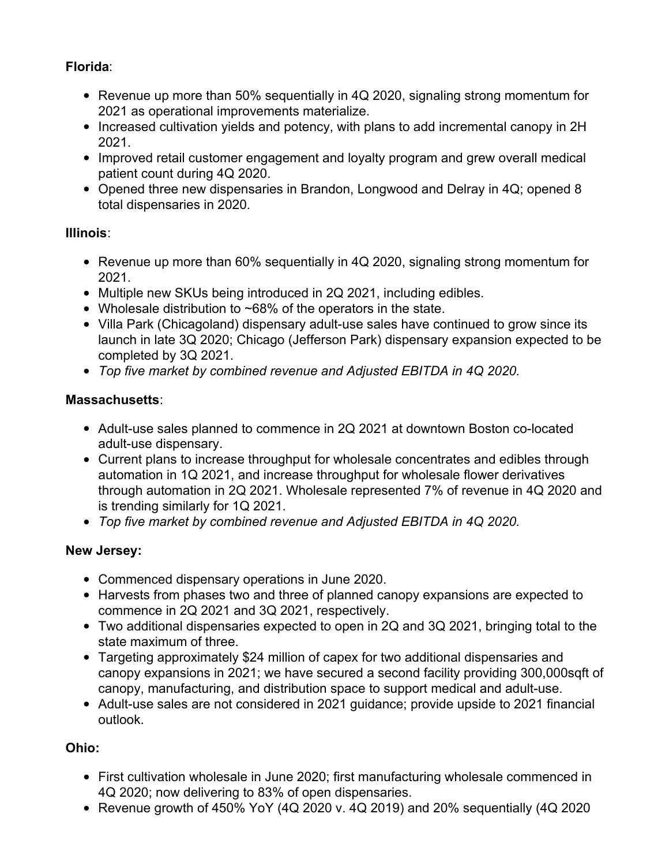# **Florida**:

- Revenue up more than 50% sequentially in 4Q 2020, signaling strong momentum for 2021 as operational improvements materialize.
- Increased cultivation yields and potency, with plans to add incremental canopy in 2H 2021.
- Improved retail customer engagement and loyalty program and grew overall medical patient count during 4Q 2020.
- Opened three new dispensaries in Brandon, Longwood and Delray in 4Q; opened 8 total dispensaries in 2020.

## **Illinois**:

- Revenue up more than 60% sequentially in 4Q 2020, signaling strong momentum for 2021.
- Multiple new SKUs being introduced in 2Q 2021, including edibles.
- Wholesale distribution to ~68% of the operators in the state.
- Villa Park (Chicagoland) dispensary adult-use sales have continued to grow since its launch in late 3Q 2020; Chicago (Jefferson Park) dispensary expansion expected to be completed by 3Q 2021.
- *Top five market by combined revenue and Adjusted EBITDA in 4Q 2020.*

## **Massachusetts**:

- Adult-use sales planned to commence in 2Q 2021 at downtown Boston co-located adult-use dispensary.
- Current plans to increase throughput for wholesale concentrates and edibles through automation in 1Q 2021, and increase throughput for wholesale flower derivatives through automation in 2Q 2021. Wholesale represented 7% of revenue in 4Q 2020 and is trending similarly for 1Q 2021.
- *Top five market by combined revenue and Adjusted EBITDA in 4Q 2020.*

## **New Jersey:**

- Commenced dispensary operations in June 2020.
- Harvests from phases two and three of planned canopy expansions are expected to commence in 2Q 2021 and 3Q 2021, respectively.
- Two additional dispensaries expected to open in 2Q and 3Q 2021, bringing total to the state maximum of three.
- Targeting approximately \$24 million of capex for two additional dispensaries and canopy expansions in 2021; we have secured a second facility providing 300,000sqft of canopy, manufacturing, and distribution space to support medical and adult-use.
- Adult-use sales are not considered in 2021 guidance; provide upside to 2021 financial outlook.

# **Ohio:**

- First cultivation wholesale in June 2020; first manufacturing wholesale commenced in 4Q 2020; now delivering to 83% of open dispensaries.
- Revenue growth of 450% YoY (4Q 2020 v. 4Q 2019) and 20% sequentially (4Q 2020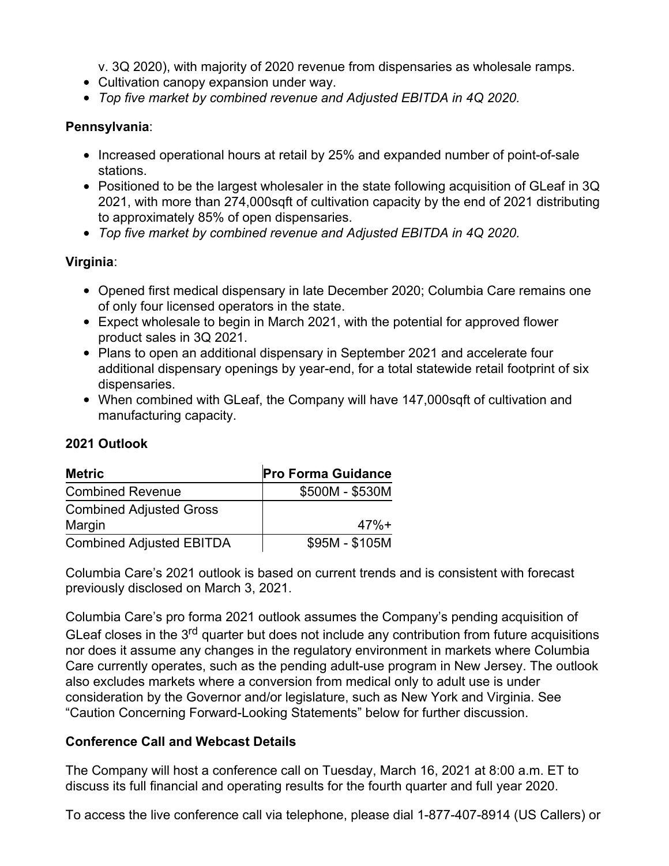v. 3Q 2020), with majority of 2020 revenue from dispensaries as wholesale ramps.

- Cultivation canopy expansion under way.
- *Top five market by combined revenue and Adjusted EBITDA in 4Q 2020.*

#### **Pennsylvania**:

- Increased operational hours at retail by 25% and expanded number of point-of-sale stations.
- Positioned to be the largest wholesaler in the state following acquisition of GLeaf in 3Q 2021, with more than 274,000sqft of cultivation capacity by the end of 2021 distributing to approximately 85% of open dispensaries.
- *Top five market by combined revenue and Adjusted EBITDA in 4Q 2020.*

#### **Virginia**:

- Opened first medical dispensary in late December 2020; Columbia Care remains one of only four licensed operators in the state.
- Expect wholesale to begin in March 2021, with the potential for approved flower product sales in 3Q 2021.
- Plans to open an additional dispensary in September 2021 and accelerate four additional dispensary openings by year-end, for a total statewide retail footprint of six dispensaries.
- When combined with GLeaf, the Company will have 147,000sqft of cultivation and manufacturing capacity.

## **2021 Outlook**

| <b>Metric</b>                   | <b>Pro Forma Guidance</b> |
|---------------------------------|---------------------------|
| <b>Combined Revenue</b>         | \$500M - \$530M           |
| <b>Combined Adjusted Gross</b>  |                           |
| Margin                          | $47% +$                   |
| <b>Combined Adjusted EBITDA</b> | \$95M - \$105M            |

Columbia Care's 2021 outlook is based on current trends and is consistent with forecast previously disclosed on March 3, 2021.

Columbia Care's pro forma 2021 outlook assumes the Company's pending acquisition of GLeaf closes in the 3<sup>rd</sup> quarter but does not include any contribution from future acquisitions nor does it assume any changes in the regulatory environment in markets where Columbia Care currently operates, such as the pending adult-use program in New Jersey. The outlook also excludes markets where a conversion from medical only to adult use is under consideration by the Governor and/or legislature, such as New York and Virginia. See "Caution Concerning Forward-Looking Statements" below for further discussion.

#### **Conference Call and Webcast Details**

The Company will host a conference call on Tuesday, March 16, 2021 at 8:00 a.m. ET to discuss its full financial and operating results for the fourth quarter and full year 2020.

To access the live conference call via telephone, please dial 1-877-407-8914 (US Callers) or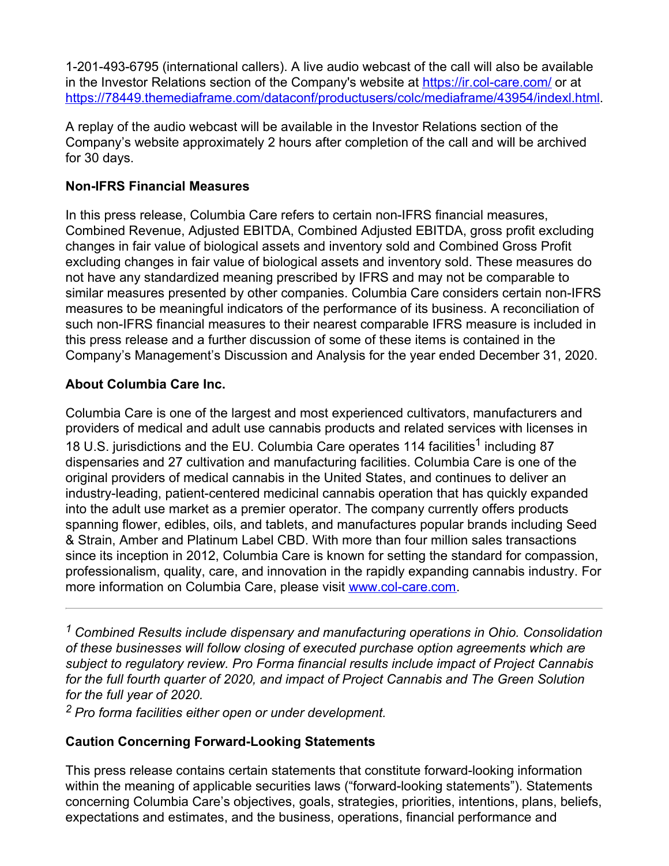1-201-493-6795 (international callers). A live audio webcast of the call will also be available in the Investor Relations section of the Company's website at <https://ir.col-care.com/> or at <https://78449.themediaframe.com/dataconf/productusers/colc/mediaframe/43954/indexl.html>.

A replay of the audio webcast will be available in the Investor Relations section of the Company's website approximately 2 hours after completion of the call and will be archived for 30 days.

## **Non-IFRS Financial Measures**

In this press release, Columbia Care refers to certain non-IFRS financial measures, Combined Revenue, Adjusted EBITDA, Combined Adjusted EBITDA, gross profit excluding changes in fair value of biological assets and inventory sold and Combined Gross Profit excluding changes in fair value of biological assets and inventory sold. These measures do not have any standardized meaning prescribed by IFRS and may not be comparable to similar measures presented by other companies. Columbia Care considers certain non-IFRS measures to be meaningful indicators of the performance of its business. A reconciliation of such non-IFRS financial measures to their nearest comparable IFRS measure is included in this press release and a further discussion of some of these items is contained in the Company's Management's Discussion and Analysis for the year ended December 31, 2020.

# **About Columbia Care Inc.**

Columbia Care is one of the largest and most experienced cultivators, manufacturers and providers of medical and adult use cannabis products and related services with licenses in 18 U.S. jurisdictions and the EU. Columbia Care operates 114 facilities<sup>1</sup> including 87 dispensaries and 27 cultivation and manufacturing facilities. Columbia Care is one of the original providers of medical cannabis in the United States, and continues to deliver an industry-leading, patient-centered medicinal cannabis operation that has quickly expanded into the adult use market as a premier operator. The company currently offers products spanning flower, edibles, oils, and tablets, and manufactures popular brands including Seed & Strain, Amber and Platinum Label CBD. With more than four million sales transactions since its inception in 2012, Columbia Care is known for setting the standard for compassion, professionalism, quality, care, and innovation in the rapidly expanding cannabis industry. For more information on Columbia Care, please visit [www.col-care.com.](http://www.col-care.com)

*<sup>1</sup> Combined Results include dispensary and manufacturing operations in Ohio. Consolidation of these businesses will follow closing of executed purchase option agreements which are subject to regulatory review. Pro Forma financial results include impact of Project Cannabis for the full fourth quarter of 2020, and impact of Project Cannabis and The Green Solution for the full year of 2020.*

*<sup>2</sup> Pro forma facilities either open or under development.*

# **Caution Concerning Forward-Looking Statements**

This press release contains certain statements that constitute forward-looking information within the meaning of applicable securities laws ("forward-looking statements"). Statements concerning Columbia Care's objectives, goals, strategies, priorities, intentions, plans, beliefs, expectations and estimates, and the business, operations, financial performance and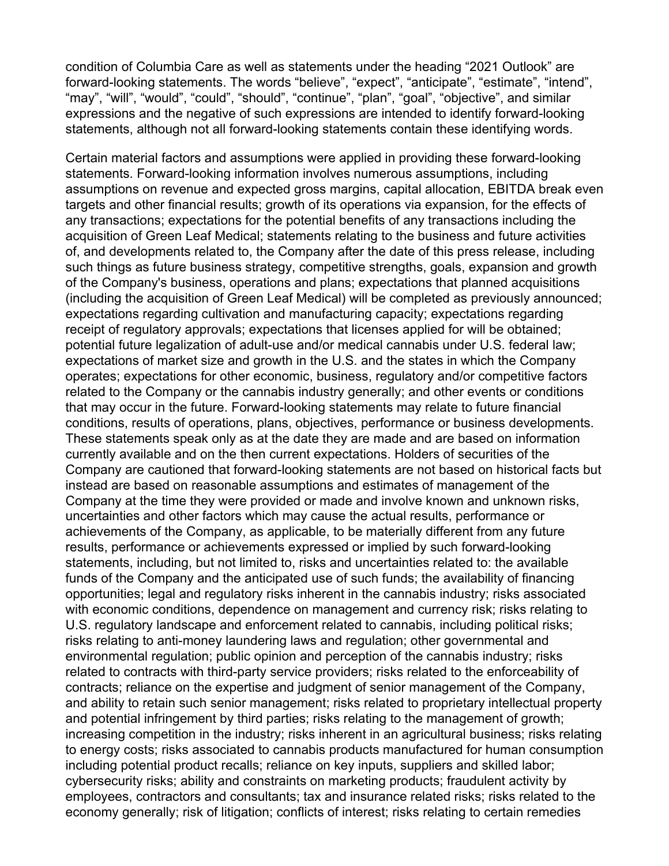condition of Columbia Care as well as statements under the heading "2021 Outlook" are forward-looking statements. The words "believe", "expect", "anticipate", "estimate", "intend", "may", "will", "would", "could", "should", "continue", "plan", "goal", "objective", and similar expressions and the negative of such expressions are intended to identify forward-looking statements, although not all forward-looking statements contain these identifying words.

Certain material factors and assumptions were applied in providing these forward-looking statements. Forward-looking information involves numerous assumptions, including assumptions on revenue and expected gross margins, capital allocation, EBITDA break even targets and other financial results; growth of its operations via expansion, for the effects of any transactions; expectations for the potential benefits of any transactions including the acquisition of Green Leaf Medical; statements relating to the business and future activities of, and developments related to, the Company after the date of this press release, including such things as future business strategy, competitive strengths, goals, expansion and growth of the Company's business, operations and plans; expectations that planned acquisitions (including the acquisition of Green Leaf Medical) will be completed as previously announced; expectations regarding cultivation and manufacturing capacity; expectations regarding receipt of regulatory approvals; expectations that licenses applied for will be obtained; potential future legalization of adult-use and/or medical cannabis under U.S. federal law; expectations of market size and growth in the U.S. and the states in which the Company operates; expectations for other economic, business, regulatory and/or competitive factors related to the Company or the cannabis industry generally; and other events or conditions that may occur in the future. Forward-looking statements may relate to future financial conditions, results of operations, plans, objectives, performance or business developments. These statements speak only as at the date they are made and are based on information currently available and on the then current expectations. Holders of securities of the Company are cautioned that forward-looking statements are not based on historical facts but instead are based on reasonable assumptions and estimates of management of the Company at the time they were provided or made and involve known and unknown risks, uncertainties and other factors which may cause the actual results, performance or achievements of the Company, as applicable, to be materially different from any future results, performance or achievements expressed or implied by such forward-looking statements, including, but not limited to, risks and uncertainties related to: the available funds of the Company and the anticipated use of such funds; the availability of financing opportunities; legal and regulatory risks inherent in the cannabis industry; risks associated with economic conditions, dependence on management and currency risk; risks relating to U.S. regulatory landscape and enforcement related to cannabis, including political risks; risks relating to anti-money laundering laws and regulation; other governmental and environmental regulation; public opinion and perception of the cannabis industry; risks related to contracts with third-party service providers; risks related to the enforceability of contracts; reliance on the expertise and judgment of senior management of the Company, and ability to retain such senior management; risks related to proprietary intellectual property and potential infringement by third parties; risks relating to the management of growth; increasing competition in the industry; risks inherent in an agricultural business; risks relating to energy costs; risks associated to cannabis products manufactured for human consumption including potential product recalls; reliance on key inputs, suppliers and skilled labor; cybersecurity risks; ability and constraints on marketing products; fraudulent activity by employees, contractors and consultants; tax and insurance related risks; risks related to the economy generally; risk of litigation; conflicts of interest; risks relating to certain remedies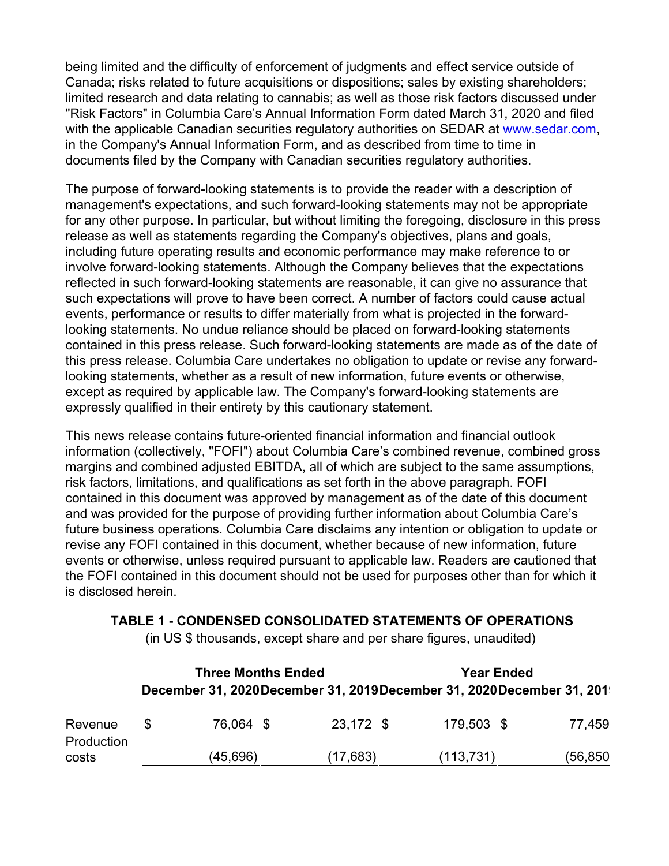being limited and the difficulty of enforcement of judgments and effect service outside of Canada; risks related to future acquisitions or dispositions; sales by existing shareholders; limited research and data relating to cannabis; as well as those risk factors discussed under "Risk Factors" in Columbia Care's Annual Information Form dated March 31, 2020 and filed with the applicable Canadian securities regulatory authorities on SEDAR at [www.sedar.com](http://www.sedar.com), in the Company's Annual Information Form, and as described from time to time in documents filed by the Company with Canadian securities regulatory authorities.

The purpose of forward-looking statements is to provide the reader with a description of management's expectations, and such forward-looking statements may not be appropriate for any other purpose. In particular, but without limiting the foregoing, disclosure in this press release as well as statements regarding the Company's objectives, plans and goals, including future operating results and economic performance may make reference to or involve forward-looking statements. Although the Company believes that the expectations reflected in such forward-looking statements are reasonable, it can give no assurance that such expectations will prove to have been correct. A number of factors could cause actual events, performance or results to differ materially from what is projected in the forwardlooking statements. No undue reliance should be placed on forward-looking statements contained in this press release. Such forward-looking statements are made as of the date of this press release. Columbia Care undertakes no obligation to update or revise any forwardlooking statements, whether as a result of new information, future events or otherwise, except as required by applicable law. The Company's forward-looking statements are expressly qualified in their entirety by this cautionary statement.

This news release contains future-oriented financial information and financial outlook information (collectively, "FOFI") about Columbia Care's combined revenue, combined gross margins and combined adjusted EBITDA, all of which are subject to the same assumptions, risk factors, limitations, and qualifications as set forth in the above paragraph. FOFI contained in this document was approved by management as of the date of this document and was provided for the purpose of providing further information about Columbia Care's future business operations. Columbia Care disclaims any intention or obligation to update or revise any FOFI contained in this document, whether because of new information, future events or otherwise, unless required pursuant to applicable law. Readers are cautioned that the FOFI contained in this document should not be used for purposes other than for which it is disclosed herein.

#### **TABLE 1 - CONDENSED CONSOLIDATED STATEMENTS OF OPERATIONS**

(in US \$ thousands, except share and per share figures, unaudited)

|            |     | <b>Three Months Ended</b> |           | <b>Year Ended</b>                                                      |           |  |  |
|------------|-----|---------------------------|-----------|------------------------------------------------------------------------|-----------|--|--|
|            |     |                           |           | December 31, 2020 December 31, 2019 December 31, 2020 December 31, 201 |           |  |  |
|            |     |                           |           |                                                                        |           |  |  |
| Revenue    | \$. | 76,064 \$                 | 23,172 \$ | 179,503 \$                                                             | 77,459    |  |  |
| Production |     |                           |           |                                                                        |           |  |  |
| costs      |     | (45,696)                  | (17,683)  | (113, 731)                                                             | (56, 850) |  |  |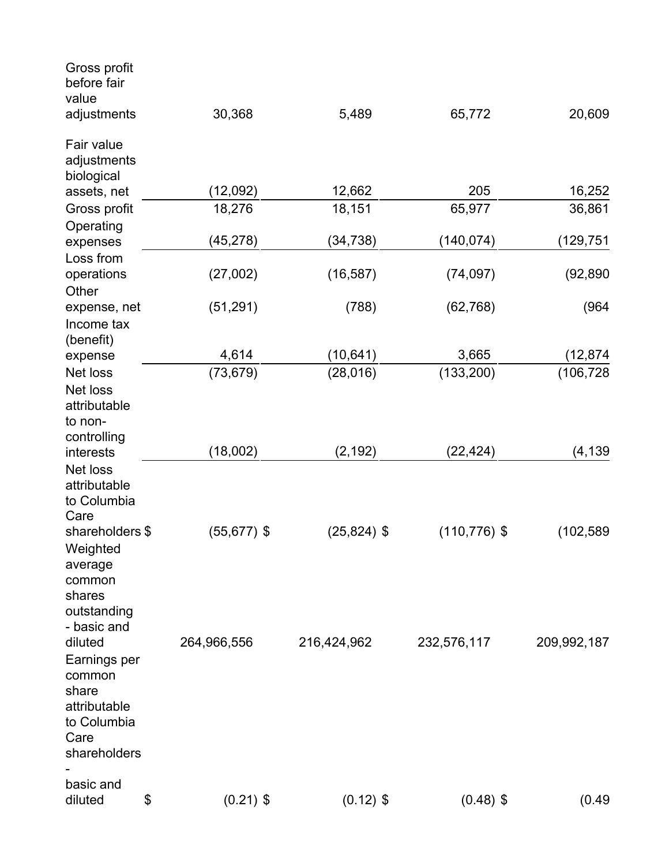| Gross profit<br>before fair<br>value                   |                   |                |                 |             |
|--------------------------------------------------------|-------------------|----------------|-----------------|-------------|
| adjustments                                            | 30,368            | 5,489          | 65,772          | 20,609      |
| Fair value<br>adjustments<br>biological                |                   |                |                 |             |
| assets, net                                            | (12,092)          | 12,662         | 205             | 16,252      |
| Gross profit                                           | 18,276            | 18,151         | 65,977          | 36,861      |
| Operating                                              |                   |                |                 |             |
| expenses                                               | (45, 278)         | (34, 738)      | (140, 074)      | (129, 751)  |
| Loss from                                              |                   |                |                 |             |
| operations                                             | (27,002)          | (16, 587)      | (74, 097)       | (92, 890)   |
| Other                                                  |                   |                |                 |             |
| expense, net                                           | (51, 291)         | (788)          | (62, 768)       | (964)       |
| Income tax                                             |                   |                |                 |             |
| (benefit)                                              |                   |                |                 |             |
| expense                                                | 4,614             | (10, 641)      | 3,665           | (12, 874)   |
| Net loss                                               | (73, 679)         | (28, 016)      | (133, 200)      | (106, 728)  |
| Net loss                                               |                   |                |                 |             |
| attributable                                           |                   |                |                 |             |
| to non-<br>controlling                                 |                   |                |                 |             |
| interests                                              | (18,002)          | (2, 192)       | (22, 424)       | (4, 139)    |
| Net loss                                               |                   |                |                 |             |
| attributable                                           |                   |                |                 |             |
| to Columbia                                            |                   |                |                 |             |
| Care                                                   |                   |                |                 |             |
| shareholders \$                                        | $(55,677)$ \$     | $(25, 824)$ \$ | $(110, 776)$ \$ | (102, 589)  |
| Weighted<br>average<br>common<br>shares<br>outstanding |                   |                |                 |             |
| - basic and                                            |                   |                |                 |             |
| diluted                                                | 264,966,556       | 216,424,962    | 232,576,117     | 209,992,187 |
| Earnings per<br>common                                 |                   |                |                 |             |
| share                                                  |                   |                |                 |             |
| attributable                                           |                   |                |                 |             |
| to Columbia                                            |                   |                |                 |             |
| Care                                                   |                   |                |                 |             |
| shareholders                                           |                   |                |                 |             |
|                                                        |                   |                |                 |             |
| basic and                                              |                   |                |                 |             |
| diluted                                                | \$<br>$(0.21)$ \$ | $(0.12)$ \$    | $(0.48)$ \$     | (0.49)      |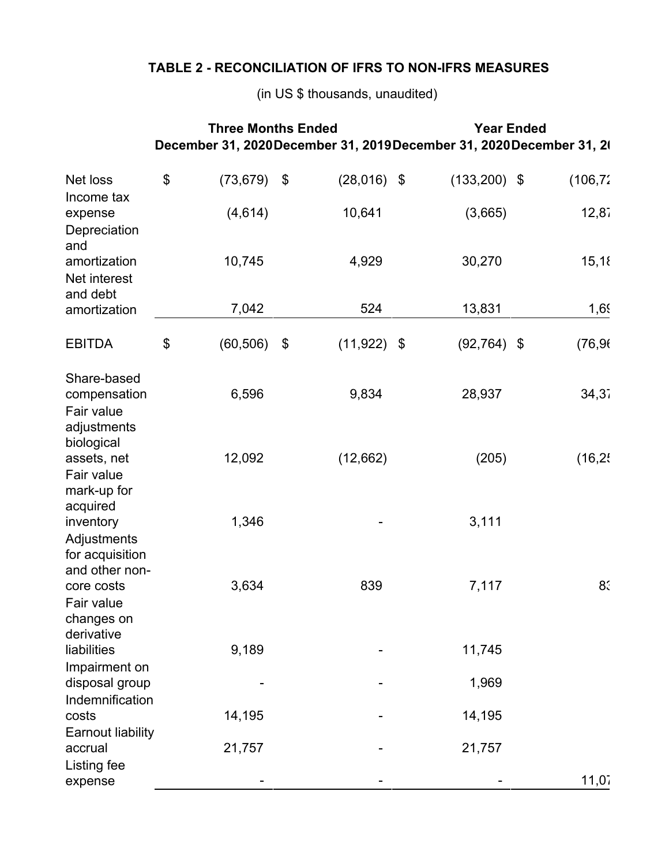# **TABLE 2 - RECONCILIATION OF IFRS TO NON-IFRS MEASURES**

(in US \$ thousands, unaudited)

|                                                                           | <b>Three Months Ended</b><br>December 31, 2020 December 31, 2019 December 31, 2020 December 31, 20 |           |    |               |  |                | <b>Year Ended</b> |                |  |
|---------------------------------------------------------------------------|----------------------------------------------------------------------------------------------------|-----------|----|---------------|--|----------------|-------------------|----------------|--|
| Net loss                                                                  | \$                                                                                                 | (73, 679) | \$ | $(28,016)$ \$ |  | $(133,200)$ \$ |                   | (106, 72)      |  |
| Income tax<br>expense<br>Depreciation                                     |                                                                                                    | (4,614)   |    | 10,641        |  | (3,665)        |                   | 12,87          |  |
| and<br>amortization<br>Net interest<br>and debt                           |                                                                                                    | 10,745    |    | 4,929         |  | 30,270         |                   | 15,18          |  |
| amortization                                                              |                                                                                                    | 7,042     |    | 524           |  | 13,831         |                   | 1,69           |  |
| <b>EBITDA</b>                                                             | \$                                                                                                 | (60, 506) | \$ | $(11,922)$ \$ |  | $(92, 764)$ \$ |                   | (76, 96)       |  |
| Share-based<br>compensation<br>Fair value<br>adjustments                  |                                                                                                    | 6,596     |    | 9,834         |  | 28,937         |                   | 34,37          |  |
| biological<br>assets, net<br>Fair value<br>mark-up for                    |                                                                                                    | 12,092    |    | (12,662)      |  | (205)          |                   | (16,2!)        |  |
| acquired<br>inventory<br>Adjustments<br>for acquisition<br>and other non- |                                                                                                    | 1,346     |    |               |  | 3,111          |                   |                |  |
| core costs<br>Fair value<br>changes on<br>derivative                      |                                                                                                    | 3,634     |    | 839           |  | 7,117          |                   | 8 <sup>°</sup> |  |
| liabilities                                                               |                                                                                                    | 9,189     |    |               |  | 11,745         |                   |                |  |
| Impairment on<br>disposal group                                           |                                                                                                    |           |    |               |  | 1,969          |                   |                |  |
| Indemnification<br>costs                                                  |                                                                                                    | 14,195    |    |               |  | 14,195         |                   |                |  |
| <b>Earnout liability</b><br>accrual                                       |                                                                                                    | 21,757    |    |               |  | 21,757         |                   |                |  |
| Listing fee<br>expense                                                    |                                                                                                    |           |    |               |  |                |                   | 11,07          |  |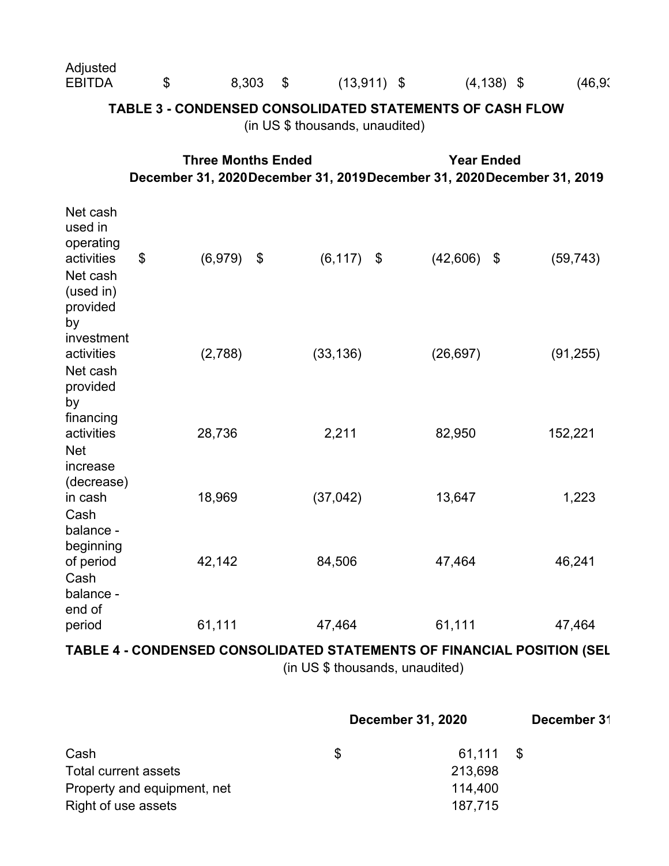| Adjusted      |            |               |               |         |
|---------------|------------|---------------|---------------|---------|
| <b>EBITDA</b> | $8,303$ \$ | $(13,911)$ \$ | $(4, 138)$ \$ | (46, 9) |

## **TABLE 3 - CONDENSED CONSOLIDATED STATEMENTS OF CASH FLOW**

(in US \$ thousands, unaudited)

|                                                                                           | <b>Three Months Ended</b><br>December 31, 2020 December 31, 2019 December 31, 2020 December 31, 2019 |         |                           |               |                                                          |               | <b>Year Ended</b> |                                                                        |  |
|-------------------------------------------------------------------------------------------|------------------------------------------------------------------------------------------------------|---------|---------------------------|---------------|----------------------------------------------------------|---------------|-------------------|------------------------------------------------------------------------|--|
| Net cash<br>used in<br>operating<br>activities<br>Net cash<br>(used in)<br>provided<br>by | \$                                                                                                   | (6,979) | $\boldsymbol{\mathsf{S}}$ | $(6, 117)$ \$ |                                                          | $(42,606)$ \$ |                   | (59, 743)                                                              |  |
| investment<br>activities<br>Net cash<br>provided<br>by                                    |                                                                                                      | (2,788) |                           | (33, 136)     |                                                          | (26, 697)     |                   | (91, 255)                                                              |  |
| financing<br>activities<br><b>Net</b><br>increase                                         |                                                                                                      | 28,736  |                           | 2,211         |                                                          | 82,950        |                   | 152,221                                                                |  |
| (decrease)<br>in cash<br>Cash<br>balance -<br>beginning                                   |                                                                                                      | 18,969  |                           | (37, 042)     |                                                          | 13,647        |                   | 1,223                                                                  |  |
| of period<br>Cash<br>balance -<br>end of                                                  |                                                                                                      | 42,142  |                           | 84,506        |                                                          | 47,464        |                   | 46,241                                                                 |  |
| period                                                                                    |                                                                                                      | 61,111  |                           | 47,464        |                                                          | 61,111        |                   | 47,464                                                                 |  |
|                                                                                           |                                                                                                      |         |                           |               | $\mu = 1100$ $\Phi$ the second state of second the state |               |                   | TABLE 4 - CONDENSED CONSOLIDATED STATEMENTS OF FINANCIAL POSITION (SEL |  |

(in US \$ thousands, unaudited)

|                             | <b>December 31, 2020</b> |  |  |  |
|-----------------------------|--------------------------|--|--|--|
| Cash<br>\$                  | $61,111$ \$              |  |  |  |
| Total current assets        | 213,698                  |  |  |  |
| Property and equipment, net | 114,400                  |  |  |  |
| Right of use assets         | 187,715                  |  |  |  |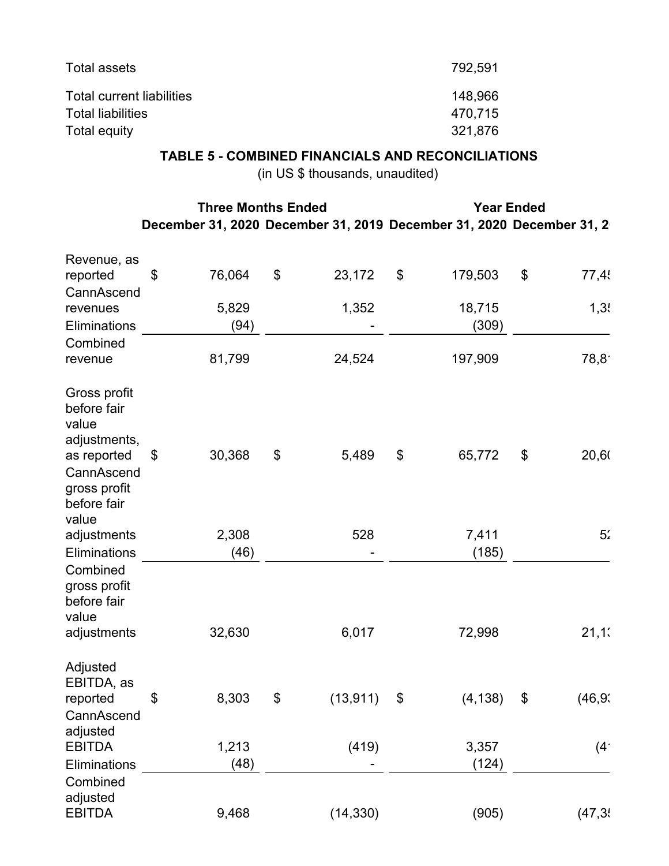| Total assets              | 792,591 |
|---------------------------|---------|
| Total current liabilities | 148,966 |
| <b>Total liabilities</b>  | 470,715 |
| Total equity              | 321,876 |

# **TABLE 5 - COMBINED FINANCIALS AND RECONCILIATIONS**

(in US \$ thousands, unaudited)

|                                                                                                                  | <b>Three Months Ended</b><br>December 31, 2020 December 31, 2019 December 31, 2020 December 31, 2 |               |                           |           |                           |                 | <b>Year Ended</b> |                |  |
|------------------------------------------------------------------------------------------------------------------|---------------------------------------------------------------------------------------------------|---------------|---------------------------|-----------|---------------------------|-----------------|-------------------|----------------|--|
| Revenue, as<br>reported<br>CannAscend                                                                            | \$                                                                                                | 76,064        | $\boldsymbol{\mathsf{S}}$ | 23,172    | $\boldsymbol{\mathsf{S}}$ | 179,503         | \$                | 77,4!          |  |
| revenues<br>Eliminations                                                                                         |                                                                                                   | 5,829<br>(94) |                           | 1,352     |                           | 18,715<br>(309) |                   | 1,3!           |  |
| Combined<br>revenue                                                                                              |                                                                                                   | 81,799        |                           | 24,524    |                           | 197,909         |                   | $78,8^{\circ}$ |  |
| Gross profit<br>before fair<br>value<br>adjustments,<br>as reported<br>CannAscend<br>gross profit<br>before fair | \$                                                                                                | 30,368        | \$                        | 5,489     | \$                        | 65,772          | \$                | 20,60          |  |
| value<br>adjustments<br>Eliminations                                                                             |                                                                                                   | 2,308<br>(46) |                           | 528       |                           | 7,411<br>(185)  |                   | 5'             |  |
| Combined<br>gross profit<br>before fair<br>value<br>adjustments                                                  |                                                                                                   | 32,630        |                           | 6,017     |                           | 72,998          |                   | 21,1           |  |
| Adjusted<br>EBITDA, as<br>reported<br>CannAscend<br>adjusted                                                     | \$                                                                                                | 8,303         | \$                        | (13, 911) | \$                        | (4, 138)        | \$                | (46, 9)        |  |
| <b>EBITDA</b><br>Eliminations                                                                                    |                                                                                                   | 1,213<br>(48) |                           | (419)     |                           | 3,357<br>(124)  |                   | (4)            |  |
| Combined<br>adjusted<br><b>EBITDA</b>                                                                            |                                                                                                   | 9,468         |                           | (14, 330) |                           | (905)           |                   | (47, 3!)       |  |